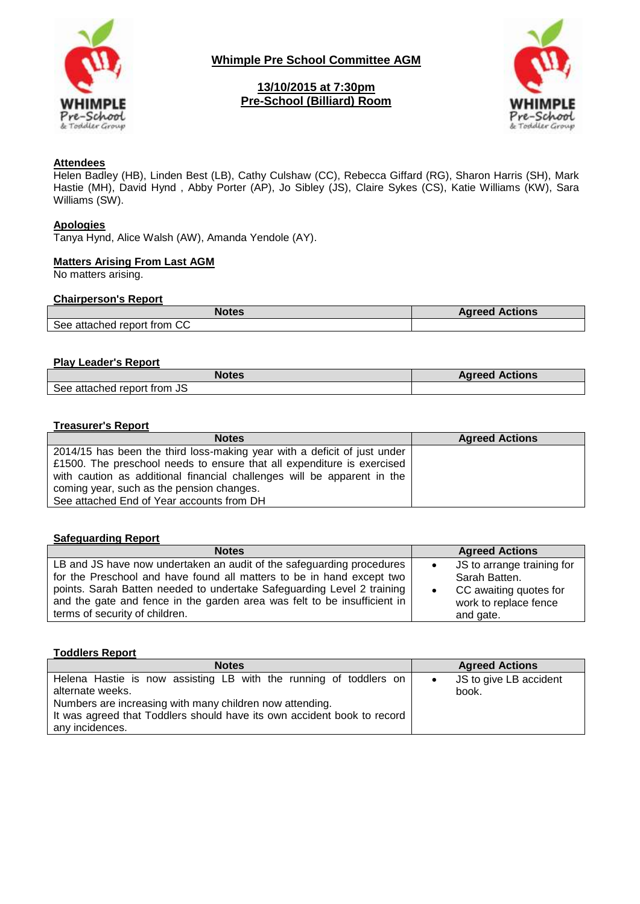

**Whimple Pre School Committee AGM**

# **13/10/2015 at 7:30pm Pre-School (Billiard) Room**



## **Attendees**

Helen Badley (HB), Linden Best (LB), Cathy Culshaw (CC), Rebecca Giffard (RG), Sharon Harris (SH), Mark Hastie (MH), David Hynd , Abby Porter (AP), Jo Sibley (JS), Claire Sykes (CS), Katie Williams (KW), Sara Williams (SW).

### **Apologies**

Tanya Hynd, Alice Walsh (AW), Amanda Yendole (AY).

## **Matters Arising From Last AGM**

No matters arising.

## **Chairperson's Report**

| <b>Notes</b>                | <b>Agreed Actions</b> |
|-----------------------------|-----------------------|
| See attached report from CC |                       |

### **Play Leader's Report**

| <b>Notes</b>                | <b>Agreed Actions</b> |
|-----------------------------|-----------------------|
| See attached report from JS |                       |

#### **Treasurer's Report**

| <b>Notes</b>                                                             | <b>Agreed Actions</b> |
|--------------------------------------------------------------------------|-----------------------|
| 2014/15 has been the third loss-making year with a deficit of just under |                       |
| £1500. The preschool needs to ensure that all expenditure is exercised   |                       |
| with caution as additional financial challenges will be apparent in the  |                       |
| coming year, such as the pension changes.                                |                       |
| See attached End of Year accounts from DH                                |                       |

#### **Safeguarding Report**

| <b>Notes</b>                                                                                                                                                                                                                                                                                         | <b>Agreed Actions</b>                                                 |
|------------------------------------------------------------------------------------------------------------------------------------------------------------------------------------------------------------------------------------------------------------------------------------------------------|-----------------------------------------------------------------------|
| LB and JS have now undertaken an audit of the safeguarding procedures<br>for the Preschool and have found all matters to be in hand except two<br>points. Sarah Batten needed to undertake Safeguarding Level 2 training<br>and the gate and fence in the garden area was felt to be insufficient in | JS to arrange training for<br>Sarah Batten.<br>CC awaiting quotes for |
| terms of security of children.                                                                                                                                                                                                                                                                       | work to replace fence<br>and gate.                                    |

### **Toddlers Report**

| <b>Notes</b>                                                                          | <b>Agreed Actions</b>           |
|---------------------------------------------------------------------------------------|---------------------------------|
| Helena Hastie is now assisting LB with the running of toddlers on<br>alternate weeks. | JS to give LB accident<br>book. |
| Numbers are increasing with many children now attending.                              |                                 |
| It was agreed that Toddlers should have its own accident book to record               |                                 |
| any incidences.                                                                       |                                 |